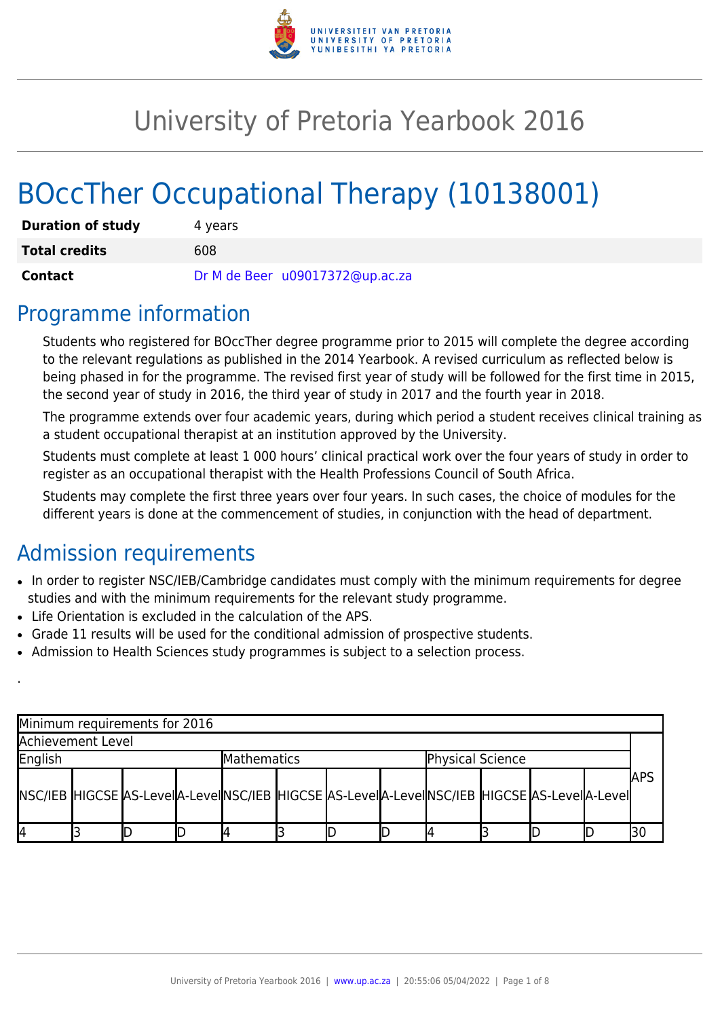

# University of Pretoria Yearbook 2016

# BOccTher Occupational Therapy (10138001)

| <b>Duration of study</b> | 4 years                         |  |  |  |  |  |  |
|--------------------------|---------------------------------|--|--|--|--|--|--|
| <b>Total credits</b>     | 608                             |  |  |  |  |  |  |
| Contact                  | Dr M de Beer u09017372@up.ac.za |  |  |  |  |  |  |

### Programme information

Students who registered for BOccTher degree programme prior to 2015 will complete the degree according to the relevant regulations as published in the 2014 Yearbook. A revised curriculum as reflected below is being phased in for the programme. The revised first year of study will be followed for the first time in 2015, the second year of study in 2016, the third year of study in 2017 and the fourth year in 2018.

The programme extends over four academic years, during which period a student receives clinical training as a student occupational therapist at an institution approved by the University.

Students must complete at least 1 000 hours' clinical practical work over the four years of study in order to register as an occupational therapist with the Health Professions Council of South Africa.

Students may complete the first three years over four years. In such cases, the choice of modules for the different years is done at the commencement of studies, in conjunction with the head of department.

# Admission requirements

.

- In order to register NSC/IEB/Cambridge candidates must comply with the minimum requirements for degree studies and with the minimum requirements for the relevant study programme.
- Life Orientation is excluded in the calculation of the APS.
- Grade 11 results will be used for the conditional admission of prospective students.
- Admission to Health Sciences study programmes is subject to a selection process.

| Minimum requirements for 2016                                                              |  |  |  |                    |  |  |                  |  |  |  |  |             |
|--------------------------------------------------------------------------------------------|--|--|--|--------------------|--|--|------------------|--|--|--|--|-------------|
| Achievement Level                                                                          |  |  |  |                    |  |  |                  |  |  |  |  |             |
| English                                                                                    |  |  |  | <b>Mathematics</b> |  |  | Physical Science |  |  |  |  |             |
| NSC/IEB HIGCSE AS-LevelA-LevelNSC/IEB HIGCSE AS-LevelA-LevelNSC/IEB HIGCSE AS-LevelA-Level |  |  |  |                    |  |  |                  |  |  |  |  | <b>JAPS</b> |
| I4                                                                                         |  |  |  |                    |  |  |                  |  |  |  |  |             |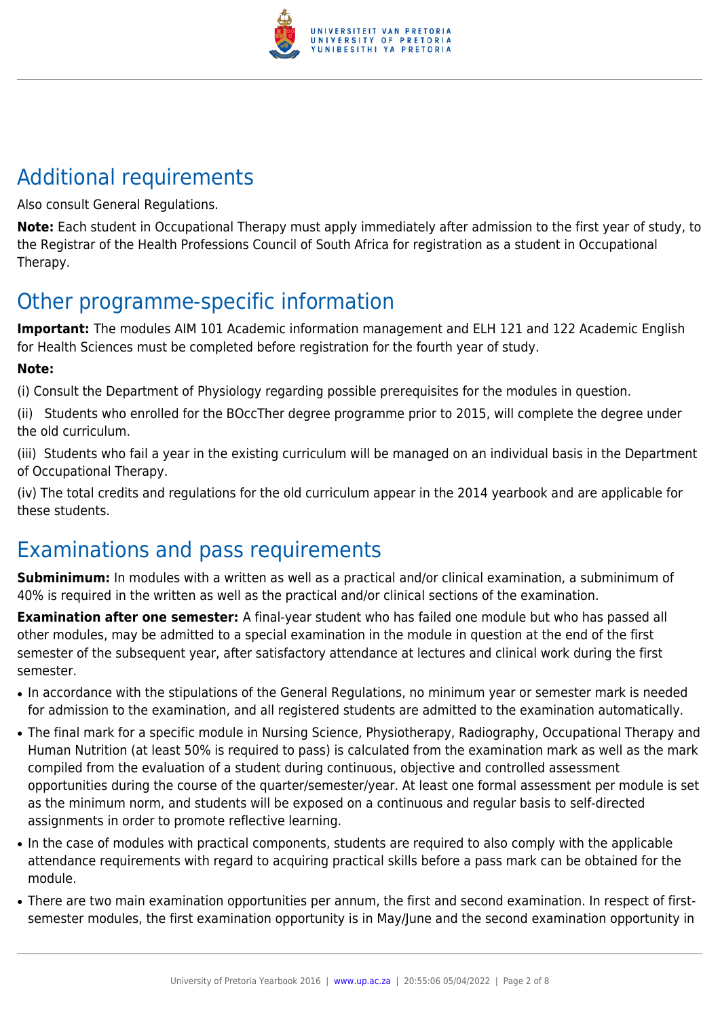

# Additional requirements

Also consult General Regulations.

**Note:** Each student in Occupational Therapy must apply immediately after admission to the first year of study, to the Registrar of the Health Professions Council of South Africa for registration as a student in Occupational Therapy.

# Other programme-specific information

**Important:** The modules AIM 101 Academic information management and ELH 121 and 122 Academic English for Health Sciences must be completed before registration for the fourth year of study.

#### **Note:**

(i) Consult the Department of Physiology regarding possible prerequisites for the modules in question.

(ii) Students who enrolled for the BOccTher degree programme prior to 2015, will complete the degree under the old curriculum.

(iii) Students who fail a year in the existing curriculum will be managed on an individual basis in the Department of Occupational Therapy.

(iv) The total credits and regulations for the old curriculum appear in the 2014 yearbook and are applicable for these students.

# Examinations and pass requirements

**Subminimum:** In modules with a written as well as a practical and/or clinical examination, a subminimum of 40% is required in the written as well as the practical and/or clinical sections of the examination.

**Examination after one semester:** A final-year student who has failed one module but who has passed all other modules, may be admitted to a special examination in the module in question at the end of the first semester of the subsequent year, after satisfactory attendance at lectures and clinical work during the first semester.

- In accordance with the stipulations of the General Regulations, no minimum year or semester mark is needed for admission to the examination, and all registered students are admitted to the examination automatically.
- The final mark for a specific module in Nursing Science, Physiotherapy, Radiography, Occupational Therapy and Human Nutrition (at least 50% is required to pass) is calculated from the examination mark as well as the mark compiled from the evaluation of a student during continuous, objective and controlled assessment opportunities during the course of the quarter/semester/year. At least one formal assessment per module is set as the minimum norm, and students will be exposed on a continuous and regular basis to self-directed assignments in order to promote reflective learning.
- In the case of modules with practical components, students are required to also comply with the applicable attendance requirements with regard to acquiring practical skills before a pass mark can be obtained for the module.
- There are two main examination opportunities per annum, the first and second examination. In respect of firstsemester modules, the first examination opportunity is in May/June and the second examination opportunity in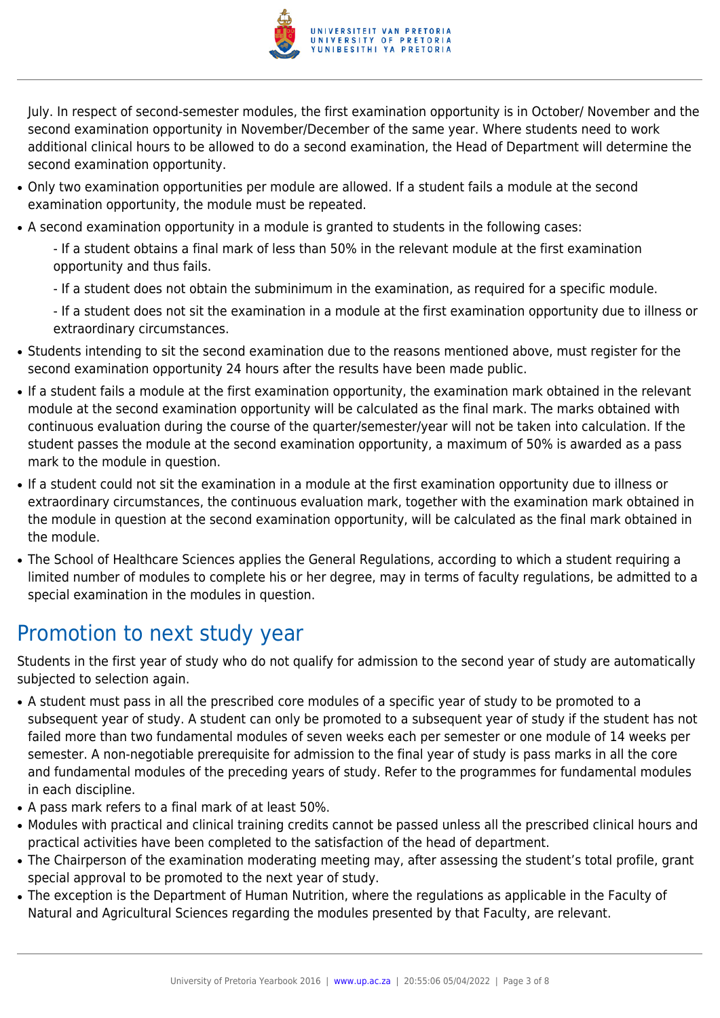

July. In respect of second-semester modules, the first examination opportunity is in October/ November and the second examination opportunity in November/December of the same year. Where students need to work additional clinical hours to be allowed to do a second examination, the Head of Department will determine the second examination opportunity.

- Only two examination opportunities per module are allowed. If a student fails a module at the second examination opportunity, the module must be repeated.
- A second examination opportunity in a module is granted to students in the following cases:
	- If a student obtains a final mark of less than 50% in the relevant module at the first examination opportunity and thus fails.
	- If a student does not obtain the subminimum in the examination, as required for a specific module.
	- If a student does not sit the examination in a module at the first examination opportunity due to illness or extraordinary circumstances.
- Students intending to sit the second examination due to the reasons mentioned above, must register for the second examination opportunity 24 hours after the results have been made public.
- If a student fails a module at the first examination opportunity, the examination mark obtained in the relevant module at the second examination opportunity will be calculated as the final mark. The marks obtained with continuous evaluation during the course of the quarter/semester/year will not be taken into calculation. If the student passes the module at the second examination opportunity, a maximum of 50% is awarded as a pass mark to the module in question.
- If a student could not sit the examination in a module at the first examination opportunity due to illness or extraordinary circumstances, the continuous evaluation mark, together with the examination mark obtained in the module in question at the second examination opportunity, will be calculated as the final mark obtained in the module.
- The School of Healthcare Sciences applies the General Regulations, according to which a student requiring a limited number of modules to complete his or her degree, may in terms of faculty regulations, be admitted to a special examination in the modules in question.

# Promotion to next study year

Students in the first year of study who do not qualify for admission to the second year of study are automatically subjected to selection again.

- A student must pass in all the prescribed core modules of a specific year of study to be promoted to a subsequent year of study. A student can only be promoted to a subsequent year of study if the student has not failed more than two fundamental modules of seven weeks each per semester or one module of 14 weeks per semester. A non-negotiable prerequisite for admission to the final year of study is pass marks in all the core and fundamental modules of the preceding years of study. Refer to the programmes for fundamental modules in each discipline.
- A pass mark refers to a final mark of at least 50%.
- Modules with practical and clinical training credits cannot be passed unless all the prescribed clinical hours and practical activities have been completed to the satisfaction of the head of department.
- The Chairperson of the examination moderating meeting may, after assessing the student's total profile, grant special approval to be promoted to the next year of study.
- The exception is the Department of Human Nutrition, where the regulations as applicable in the Faculty of Natural and Agricultural Sciences regarding the modules presented by that Faculty, are relevant.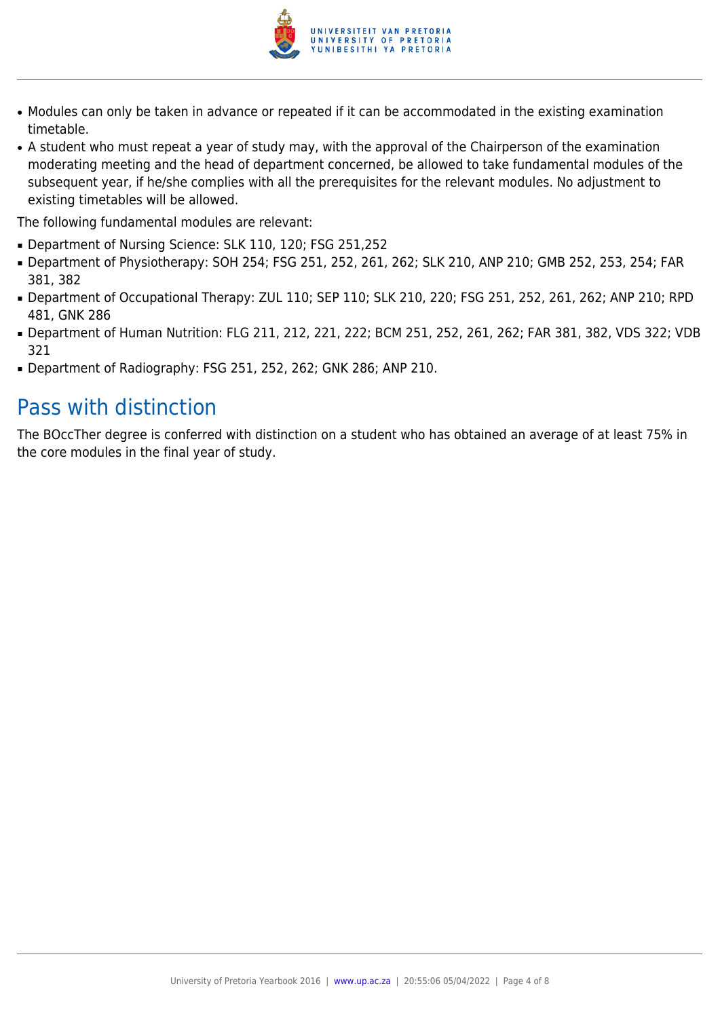

- Modules can only be taken in advance or repeated if it can be accommodated in the existing examination timetable.
- A student who must repeat a year of study may, with the approval of the Chairperson of the examination moderating meeting and the head of department concerned, be allowed to take fundamental modules of the subsequent year, if he/she complies with all the prerequisites for the relevant modules. No adjustment to existing timetables will be allowed.

The following fundamental modules are relevant:

- Department of Nursing Science: SLK 110, 120; FSG 251,252
- Department of Physiotherapy: SOH 254; FSG 251, 252, 261, 262; SLK 210, ANP 210; GMB 252, 253, 254; FAR 381, 382
- Department of Occupational Therapy: ZUL 110; SEP 110; SLK 210, 220; FSG 251, 252, 261, 262; ANP 210; RPD 481, GNK 286
- Department of Human Nutrition: FLG 211, 212, 221, 222; BCM 251, 252, 261, 262; FAR 381, 382, VDS 322; VDB 321
- Department of Radiography: FSG 251, 252, 262; GNK 286; ANP 210.

### Pass with distinction

The BOccTher degree is conferred with distinction on a student who has obtained an average of at least 75% in the core modules in the final year of study.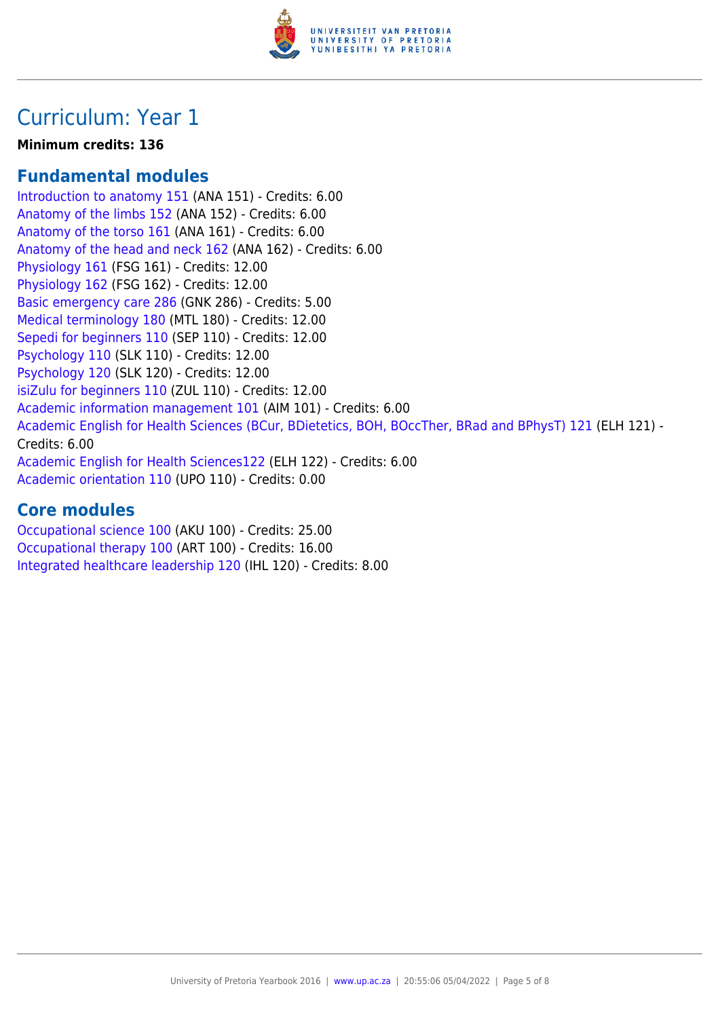

## Curriculum: Year 1

#### **Minimum credits: 136**

#### **Fundamental modules**

[Introduction to anatomy 151](https://www.up.ac.za/yearbooks/2016/modules/view/ANA 151) (ANA 151) - Credits: 6.00 [Anatomy of the limbs 152](https://www.up.ac.za/yearbooks/2016/modules/view/ANA 152) (ANA 152) - Credits: 6.00 [Anatomy of the torso 161](https://www.up.ac.za/yearbooks/2016/modules/view/ANA 161) (ANA 161) - Credits: 6.00 [Anatomy of the head and neck 162](https://www.up.ac.za/yearbooks/2016/modules/view/ANA 162) (ANA 162) - Credits: 6.00 [Physiology 161](https://www.up.ac.za/yearbooks/2016/modules/view/FSG 161) (FSG 161) - Credits: 12.00 [Physiology 162](https://www.up.ac.za/yearbooks/2016/modules/view/FSG 162) (FSG 162) - Credits: 12.00 [Basic emergency care 286](https://www.up.ac.za/yearbooks/2016/modules/view/GNK 286) (GNK 286) - Credits: 5.00 [Medical terminology 180](https://www.up.ac.za/yearbooks/2016/modules/view/MTL 180) (MTL 180) - Credits: 12.00 [Sepedi for beginners 110](https://www.up.ac.za/yearbooks/2016/modules/view/SEP 110) (SEP 110) - Credits: 12.00 [Psychology 110](https://www.up.ac.za/yearbooks/2016/modules/view/SLK 110) (SLK 110) - Credits: 12.00 [Psychology 120](https://www.up.ac.za/yearbooks/2016/modules/view/SLK 120) (SLK 120) - Credits: 12.00 [isiZulu for beginners 110](https://www.up.ac.za/yearbooks/2016/modules/view/ZUL 110) (ZUL 110) - Credits: 12.00 [Academic information management 101](https://www.up.ac.za/yearbooks/2016/modules/view/AIM 101) (AIM 101) - Credits: 6.00 [Academic English for Health Sciences \(BCur, BDietetics, BOH, BOccTher, BRad and BPhysT\) 121](https://www.up.ac.za/yearbooks/2016/modules/view/ELH 121) (ELH 121) - Credits: 6.00 [Academic English for Health Sciences122](https://www.up.ac.za/yearbooks/2016/modules/view/ELH 122) (ELH 122) - Credits: 6.00 [Academic orientation 110](https://www.up.ac.za/yearbooks/2016/modules/view/UPO 110) (UPO 110) - Credits: 0.00

#### **Core modules**

[Occupational science 100](https://www.up.ac.za/yearbooks/2016/modules/view/AKU 100) (AKU 100) - Credits: 25.00 [Occupational therapy 100](https://www.up.ac.za/yearbooks/2016/modules/view/ART 100) (ART 100) - Credits: 16.00 [Integrated healthcare leadership 120](https://www.up.ac.za/yearbooks/2016/modules/view/IHL 120) (IHL 120) - Credits: 8.00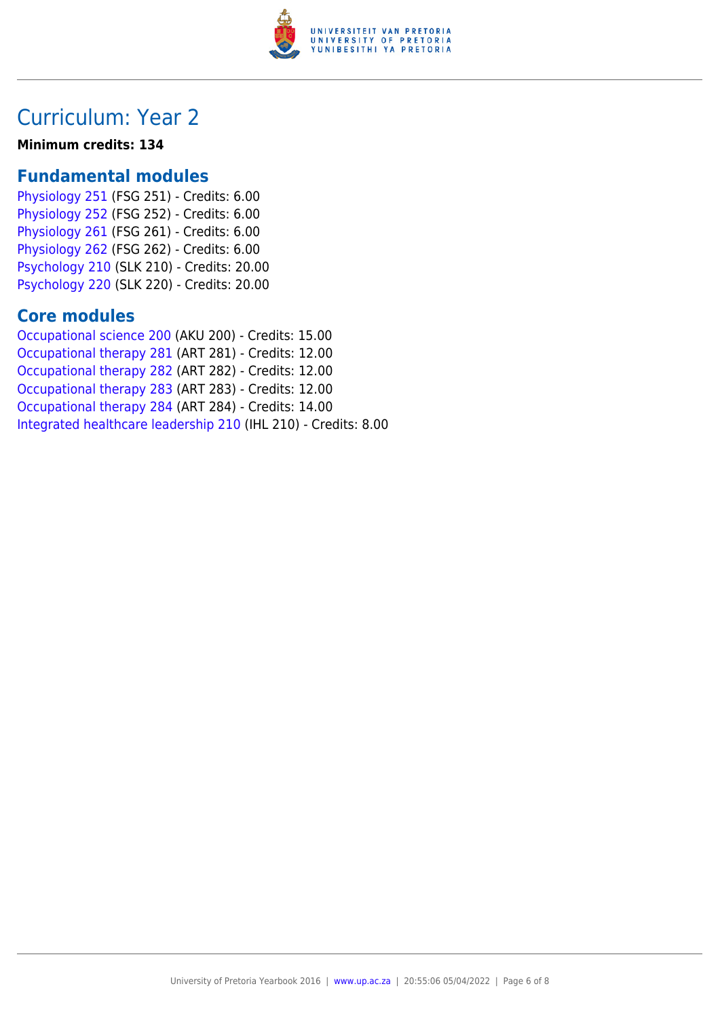

### Curriculum: Year 2

#### **Minimum credits: 134**

#### **Fundamental modules**

[Physiology 251](https://www.up.ac.za/yearbooks/2016/modules/view/FSG 251) (FSG 251) - Credits: 6.00 [Physiology 252](https://www.up.ac.za/yearbooks/2016/modules/view/FSG 252) (FSG 252) - Credits: 6.00 [Physiology 261](https://www.up.ac.za/yearbooks/2016/modules/view/FSG 261) (FSG 261) - Credits: 6.00 [Physiology 262](https://www.up.ac.za/yearbooks/2016/modules/view/FSG 262) (FSG 262) - Credits: 6.00 [Psychology 210](https://www.up.ac.za/yearbooks/2016/modules/view/SLK 210) (SLK 210) - Credits: 20.00 [Psychology 220](https://www.up.ac.za/yearbooks/2016/modules/view/SLK 220) (SLK 220) - Credits: 20.00

#### **Core modules**

[Occupational science 200](https://www.up.ac.za/yearbooks/2016/modules/view/AKU 200) (AKU 200) - Credits: 15.00 [Occupational therapy 281](https://www.up.ac.za/yearbooks/2016/modules/view/ART 281) (ART 281) - Credits: 12.00 [Occupational therapy 282](https://www.up.ac.za/yearbooks/2016/modules/view/ART 282) (ART 282) - Credits: 12.00 [Occupational therapy 283](https://www.up.ac.za/yearbooks/2016/modules/view/ART 283) (ART 283) - Credits: 12.00 [Occupational therapy 284](https://www.up.ac.za/yearbooks/2016/modules/view/ART 284) (ART 284) - Credits: 14.00 [Integrated healthcare leadership 210](https://www.up.ac.za/yearbooks/2016/modules/view/IHL 210) (IHL 210) - Credits: 8.00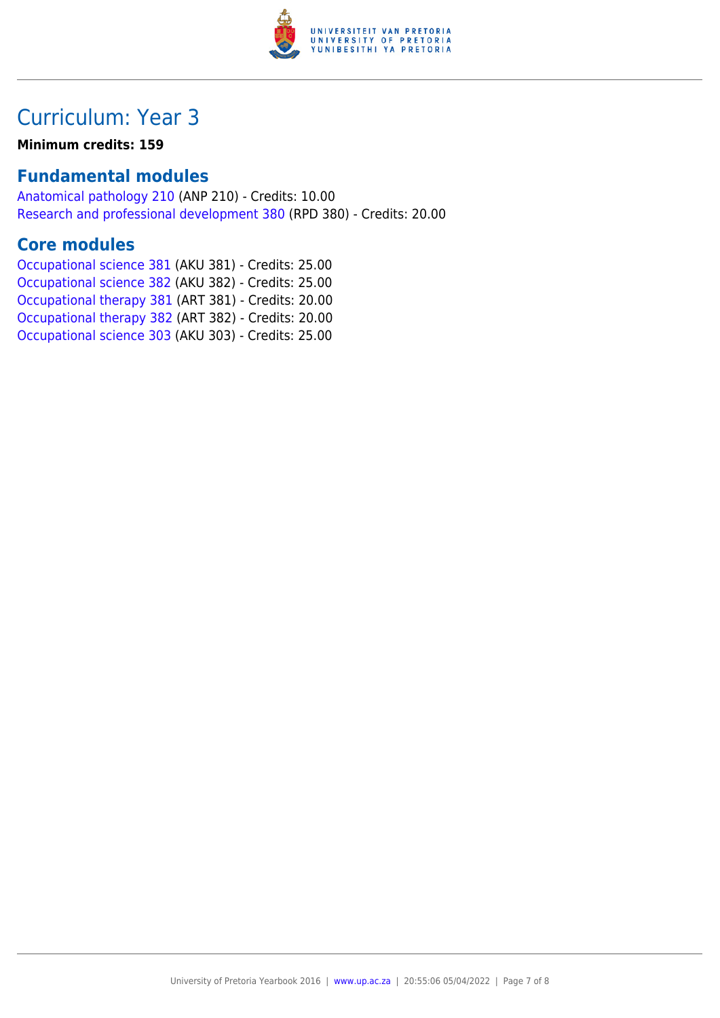

# Curriculum: Year 3

#### **Minimum credits: 159**

#### **Fundamental modules**

[Anatomical pathology 210](https://www.up.ac.za/yearbooks/2016/modules/view/ANP 210) (ANP 210) - Credits: 10.00 [Research and professional development 380](https://www.up.ac.za/yearbooks/2016/modules/view/RPD 380) (RPD 380) - Credits: 20.00

#### **Core modules**

[Occupational science 381](https://www.up.ac.za/yearbooks/2016/modules/view/AKU 381) (AKU 381) - Credits: 25.00 [Occupational science 382](https://www.up.ac.za/yearbooks/2016/modules/view/AKU 382) (AKU 382) - Credits: 25.00 [Occupational therapy 381](https://www.up.ac.za/yearbooks/2016/modules/view/ART 381) (ART 381) - Credits: 20.00 [Occupational therapy 382](https://www.up.ac.za/yearbooks/2016/modules/view/ART 382) (ART 382) - Credits: 20.00 [Occupational science 303](https://www.up.ac.za/yearbooks/2016/modules/view/AKU 303) (AKU 303) - Credits: 25.00